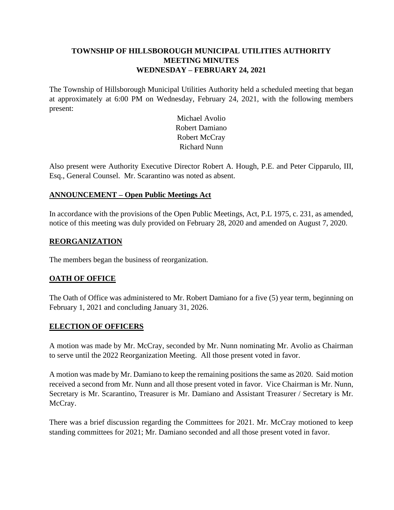## **TOWNSHIP OF HILLSBOROUGH MUNICIPAL UTILITIES AUTHORITY MEETING MINUTES WEDNESDAY – FEBRUARY 24, 2021**

The Township of Hillsborough Municipal Utilities Authority held a scheduled meeting that began at approximately at 6:00 PM on Wednesday, February 24, 2021, with the following members present:

> Michael Avolio Robert Damiano Robert McCray Richard Nunn

Also present were Authority Executive Director Robert A. Hough, P.E. and Peter Cipparulo, III, Esq., General Counsel. Mr. Scarantino was noted as absent.

#### **ANNOUNCEMENT – Open Public Meetings Act**

In accordance with the provisions of the Open Public Meetings, Act, P.L 1975, c. 231, as amended, notice of this meeting was duly provided on February 28, 2020 and amended on August 7, 2020.

#### **REORGANIZATION**

The members began the business of reorganization.

## **OATH OF OFFICE**

The Oath of Office was administered to Mr. Robert Damiano for a five (5) year term, beginning on February 1, 2021 and concluding January 31, 2026.

## **ELECTION OF OFFICERS**

A motion was made by Mr. McCray, seconded by Mr. Nunn nominating Mr. Avolio as Chairman to serve until the 2022 Reorganization Meeting. All those present voted in favor.

A motion was made by Mr. Damiano to keep the remaining positions the same as 2020. Said motion received a second from Mr. Nunn and all those present voted in favor. Vice Chairman is Mr. Nunn, Secretary is Mr. Scarantino, Treasurer is Mr. Damiano and Assistant Treasurer / Secretary is Mr. McCray.

There was a brief discussion regarding the Committees for 2021. Mr. McCray motioned to keep standing committees for 2021; Mr. Damiano seconded and all those present voted in favor.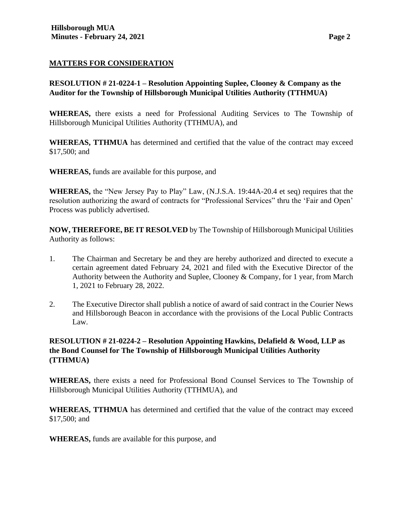## **MATTERS FOR CONSIDERATION**

**RESOLUTION # 21-0224-1 – Resolution Appointing Suplee, Clooney & Company as the Auditor for the Township of Hillsborough Municipal Utilities Authority (TTHMUA)**

**WHEREAS,** there exists a need for Professional Auditing Services to The Township of Hillsborough Municipal Utilities Authority (TTHMUA), and

**WHEREAS, TTHMUA** has determined and certified that the value of the contract may exceed \$17,500; and

**WHEREAS,** funds are available for this purpose, and

**WHEREAS,** the "New Jersey Pay to Play" Law, (N.J.S.A. 19:44A-20.4 et seq) requires that the resolution authorizing the award of contracts for "Professional Services" thru the 'Fair and Open' Process was publicly advertised.

**NOW, THEREFORE, BE IT RESOLVED** by The Township of Hillsborough Municipal Utilities Authority as follows:

- 1. The Chairman and Secretary be and they are hereby authorized and directed to execute a certain agreement dated February 24, 2021 and filed with the Executive Director of the Authority between the Authority and Suplee, Clooney & Company, for 1 year, from March 1, 2021 to February 28, 2022.
- 2. The Executive Director shall publish a notice of award of said contract in the Courier News and Hillsborough Beacon in accordance with the provisions of the Local Public Contracts Law.

# **RESOLUTION # 21-0224-2 – Resolution Appointing Hawkins, Delafield & Wood, LLP as the Bond Counsel for The Township of Hillsborough Municipal Utilities Authority (TTHMUA)**

**WHEREAS,** there exists a need for Professional Bond Counsel Services to The Township of Hillsborough Municipal Utilities Authority (TTHMUA), and

**WHEREAS, TTHMUA** has determined and certified that the value of the contract may exceed \$17,500; and

**WHEREAS,** funds are available for this purpose, and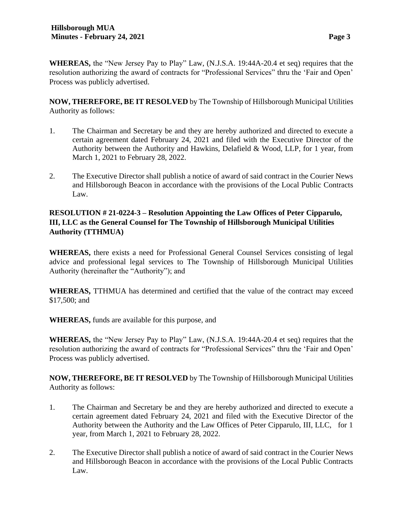**WHEREAS,** the "New Jersey Pay to Play" Law, (N.J.S.A. 19:44A-20.4 et seq) requires that the resolution authorizing the award of contracts for "Professional Services" thru the 'Fair and Open' Process was publicly advertised.

**NOW, THEREFORE, BE IT RESOLVED** by The Township of Hillsborough Municipal Utilities Authority as follows:

- 1. The Chairman and Secretary be and they are hereby authorized and directed to execute a certain agreement dated February 24, 2021 and filed with the Executive Director of the Authority between the Authority and Hawkins, Delafield & Wood, LLP, for 1 year, from March 1, 2021 to February 28, 2022.
- 2. The Executive Director shall publish a notice of award of said contract in the Courier News and Hillsborough Beacon in accordance with the provisions of the Local Public Contracts Law.

# **RESOLUTION # 21-0224-3 – Resolution Appointing the Law Offices of Peter Cipparulo, III, LLC as the General Counsel for The Township of Hillsborough Municipal Utilities Authority (TTHMUA)**

**WHEREAS,** there exists a need for Professional General Counsel Services consisting of legal advice and professional legal services to The Township of Hillsborough Municipal Utilities Authority (hereinafter the "Authority"); and

**WHEREAS,** TTHMUA has determined and certified that the value of the contract may exceed \$17,500; and

**WHEREAS,** funds are available for this purpose, and

**WHEREAS,** the "New Jersey Pay to Play" Law, (N.J.S.A. 19:44A-20.4 et seq) requires that the resolution authorizing the award of contracts for "Professional Services" thru the 'Fair and Open' Process was publicly advertised.

**NOW, THEREFORE, BE IT RESOLVED** by The Township of Hillsborough Municipal Utilities Authority as follows:

- 1. The Chairman and Secretary be and they are hereby authorized and directed to execute a certain agreement dated February 24, 2021 and filed with the Executive Director of the Authority between the Authority and the Law Offices of Peter Cipparulo, III, LLC, for 1 year, from March 1, 2021 to February 28, 2022.
- 2. The Executive Director shall publish a notice of award of said contract in the Courier News and Hillsborough Beacon in accordance with the provisions of the Local Public Contracts Law.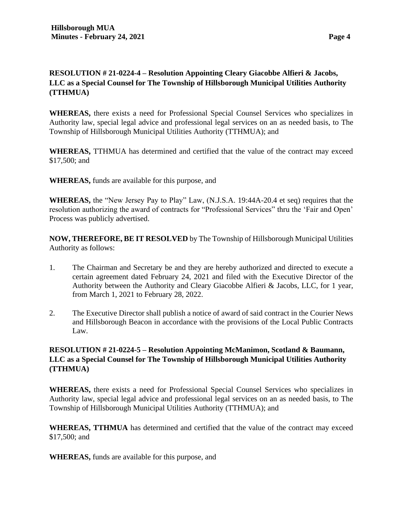# **RESOLUTION # 21-0224-4 – Resolution Appointing Cleary Giacobbe Alfieri & Jacobs, LLC as a Special Counsel for The Township of Hillsborough Municipal Utilities Authority (TTHMUA)**

**WHEREAS,** there exists a need for Professional Special Counsel Services who specializes in Authority law, special legal advice and professional legal services on an as needed basis, to The Township of Hillsborough Municipal Utilities Authority (TTHMUA); and

**WHEREAS,** TTHMUA has determined and certified that the value of the contract may exceed \$17,500; and

**WHEREAS,** funds are available for this purpose, and

**WHEREAS,** the "New Jersey Pay to Play" Law, (N.J.S.A. 19:44A-20.4 et seq) requires that the resolution authorizing the award of contracts for "Professional Services" thru the 'Fair and Open' Process was publicly advertised.

**NOW, THEREFORE, BE IT RESOLVED** by The Township of Hillsborough Municipal Utilities Authority as follows:

- 1. The Chairman and Secretary be and they are hereby authorized and directed to execute a certain agreement dated February 24, 2021 and filed with the Executive Director of the Authority between the Authority and Cleary Giacobbe Alfieri & Jacobs, LLC, for 1 year, from March 1, 2021 to February 28, 2022.
- 2. The Executive Director shall publish a notice of award of said contract in the Courier News and Hillsborough Beacon in accordance with the provisions of the Local Public Contracts Law.

## **RESOLUTION # 21-0224-5 – Resolution Appointing McManimon, Scotland & Baumann, LLC as a Special Counsel for The Township of Hillsborough Municipal Utilities Authority (TTHMUA)**

**WHEREAS,** there exists a need for Professional Special Counsel Services who specializes in Authority law, special legal advice and professional legal services on an as needed basis, to The Township of Hillsborough Municipal Utilities Authority (TTHMUA); and

WHEREAS, TTHMUA has determined and certified that the value of the contract may exceed \$17,500; and

**WHEREAS,** funds are available for this purpose, and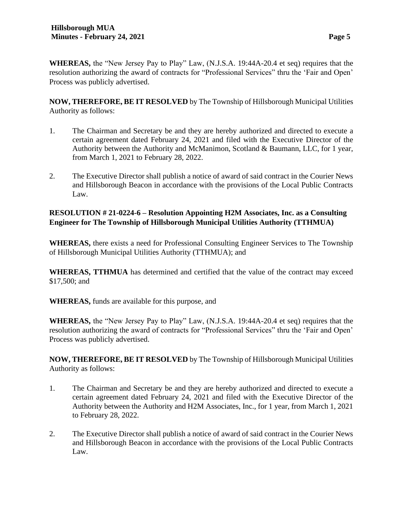**WHEREAS,** the "New Jersey Pay to Play" Law, (N.J.S.A. 19:44A-20.4 et seq) requires that the resolution authorizing the award of contracts for "Professional Services" thru the 'Fair and Open' Process was publicly advertised.

**NOW, THEREFORE, BE IT RESOLVED** by The Township of Hillsborough Municipal Utilities Authority as follows:

- 1. The Chairman and Secretary be and they are hereby authorized and directed to execute a certain agreement dated February 24, 2021 and filed with the Executive Director of the Authority between the Authority and McManimon, Scotland & Baumann, LLC, for 1 year, from March 1, 2021 to February 28, 2022.
- 2. The Executive Director shall publish a notice of award of said contract in the Courier News and Hillsborough Beacon in accordance with the provisions of the Local Public Contracts Law.

# **RESOLUTION # 21-0224-6 – Resolution Appointing H2M Associates, Inc. as a Consulting Engineer for The Township of Hillsborough Municipal Utilities Authority (TTHMUA)**

**WHEREAS,** there exists a need for Professional Consulting Engineer Services to The Township of Hillsborough Municipal Utilities Authority (TTHMUA); and

**WHEREAS, TTHMUA** has determined and certified that the value of the contract may exceed \$17,500; and

**WHEREAS,** funds are available for this purpose, and

**WHEREAS,** the "New Jersey Pay to Play" Law, (N.J.S.A. 19:44A-20.4 et seq) requires that the resolution authorizing the award of contracts for "Professional Services" thru the 'Fair and Open' Process was publicly advertised.

**NOW, THEREFORE, BE IT RESOLVED** by The Township of Hillsborough Municipal Utilities Authority as follows:

- 1. The Chairman and Secretary be and they are hereby authorized and directed to execute a certain agreement dated February 24, 2021 and filed with the Executive Director of the Authority between the Authority and H2M Associates, Inc., for 1 year, from March 1, 2021 to February 28, 2022.
- 2. The Executive Director shall publish a notice of award of said contract in the Courier News and Hillsborough Beacon in accordance with the provisions of the Local Public Contracts Law.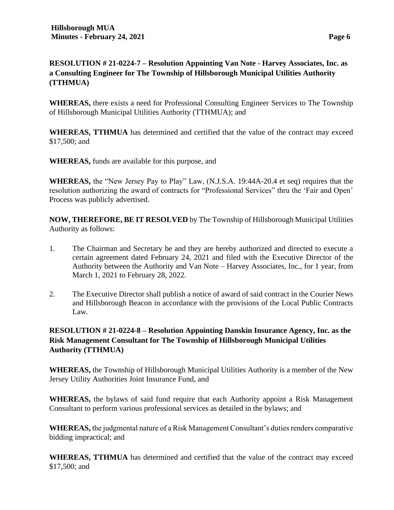# **RESOLUTION # 21-0224-7 – Resolution Appointing Van Note - Harvey Associates, Inc. as a Consulting Engineer for The Township of Hillsborough Municipal Utilities Authority (TTHMUA)**

**WHEREAS,** there exists a need for Professional Consulting Engineer Services to The Township of Hillsborough Municipal Utilities Authority (TTHMUA); and

**WHEREAS, TTHMUA** has determined and certified that the value of the contract may exceed \$17,500; and

**WHEREAS,** funds are available for this purpose, and

**WHEREAS,** the "New Jersey Pay to Play" Law, (N.J.S.A. 19:44A-20.4 et seq) requires that the resolution authorizing the award of contracts for "Professional Services" thru the 'Fair and Open' Process was publicly advertised.

**NOW, THEREFORE, BE IT RESOLVED** by The Township of Hillsborough Municipal Utilities Authority as follows:

- 1. The Chairman and Secretary be and they are hereby authorized and directed to execute a certain agreement dated February 24, 2021 and filed with the Executive Director of the Authority between the Authority and Van Note – Harvey Associates, Inc., for 1 year, from March 1, 2021 to February 28, 2022.
- 2. The Executive Director shall publish a notice of award of said contract in the Courier News and Hillsborough Beacon in accordance with the provisions of the Local Public Contracts Law.

# **RESOLUTION # 21-0224-8 – Resolution Appointing Danskin Insurance Agency, Inc. as the Risk Management Consultant for The Township of Hillsborough Municipal Utilities Authority (TTHMUA)**

**WHEREAS,** the Township of Hillsborough Municipal Utilities Authority is a member of the New Jersey Utility Authorities Joint Insurance Fund, and

**WHEREAS,** the bylaws of said fund require that each Authority appoint a Risk Management Consultant to perform various professional services as detailed in the bylaws; and

**WHEREAS,** the judgmental nature of a Risk Management Consultant's duties renders comparative bidding impractical; and

**WHEREAS, TTHMUA** has determined and certified that the value of the contract may exceed \$17,500; and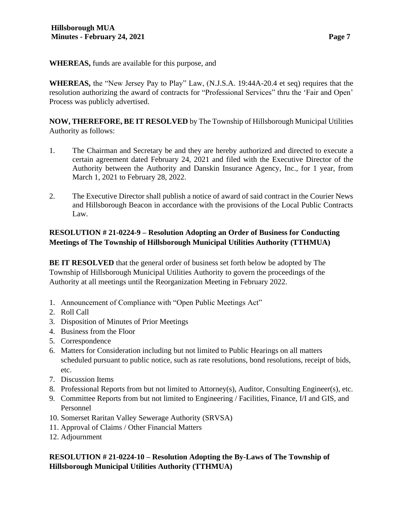**WHEREAS,** funds are available for this purpose, and

**WHEREAS,** the "New Jersey Pay to Play" Law, (N.J.S.A. 19:44A-20.4 et seq) requires that the resolution authorizing the award of contracts for "Professional Services" thru the 'Fair and Open' Process was publicly advertised.

**NOW, THEREFORE, BE IT RESOLVED** by The Township of Hillsborough Municipal Utilities Authority as follows:

- 1. The Chairman and Secretary be and they are hereby authorized and directed to execute a certain agreement dated February 24, 2021 and filed with the Executive Director of the Authority between the Authority and Danskin Insurance Agency, Inc., for 1 year, from March 1, 2021 to February 28, 2022.
- 2. The Executive Director shall publish a notice of award of said contract in the Courier News and Hillsborough Beacon in accordance with the provisions of the Local Public Contracts Law.

# **RESOLUTION # 21-0224-9 – Resolution Adopting an Order of Business for Conducting Meetings of The Township of Hillsborough Municipal Utilities Authority (TTHMUA)**

**BE IT RESOLVED** that the general order of business set forth below be adopted by The Township of Hillsborough Municipal Utilities Authority to govern the proceedings of the Authority at all meetings until the Reorganization Meeting in February 2022.

- 1. Announcement of Compliance with "Open Public Meetings Act"
- 2. Roll Call
- 3. Disposition of Minutes of Prior Meetings
- 4. Business from the Floor
- 5. Correspondence
- 6. Matters for Consideration including but not limited to Public Hearings on all matters scheduled pursuant to public notice, such as rate resolutions, bond resolutions, receipt of bids, etc.
- 7. Discussion Items
- 8. Professional Reports from but not limited to Attorney(s), Auditor, Consulting Engineer(s), etc.
- 9. Committee Reports from but not limited to Engineering / Facilities, Finance, I/I and GIS, and Personnel
- 10. Somerset Raritan Valley Sewerage Authority (SRVSA)
- 11. Approval of Claims / Other Financial Matters
- 12. Adjournment

# **RESOLUTION # 21-0224-10 – Resolution Adopting the By-Laws of The Township of Hillsborough Municipal Utilities Authority (TTHMUA)**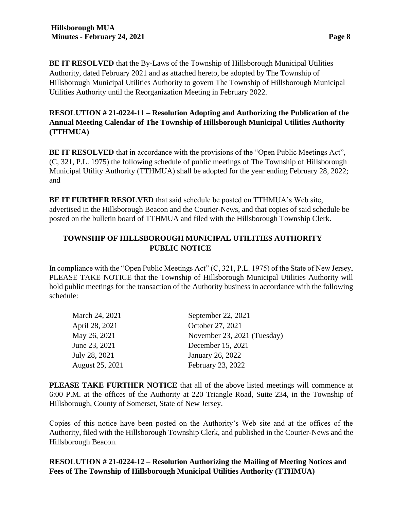**BE IT RESOLVED** that the By-Laws of the Township of Hillsborough Municipal Utilities Authority, dated February 2021 and as attached hereto, be adopted by The Township of Hillsborough Municipal Utilities Authority to govern The Township of Hillsborough Municipal Utilities Authority until the Reorganization Meeting in February 2022.

## **RESOLUTION # 21-0224-11 – Resolution Adopting and Authorizing the Publication of the Annual Meeting Calendar of The Township of Hillsborough Municipal Utilities Authority (TTHMUA)**

**BE IT RESOLVED** that in accordance with the provisions of the "Open Public Meetings Act", (C, 321, P.L. 1975) the following schedule of public meetings of The Township of Hillsborough Municipal Utility Authority (TTHMUA) shall be adopted for the year ending February 28, 2022; and

**BE IT FURTHER RESOLVED** that said schedule be posted on TTHMUA's Web site, advertised in the Hillsborough Beacon and the Courier-News, and that copies of said schedule be posted on the bulletin board of TTHMUA and filed with the Hillsborough Township Clerk.

# **TOWNSHIP OF HILLSBOROUGH MUNICIPAL UTILITIES AUTHORITY PUBLIC NOTICE**

In compliance with the "Open Public Meetings Act" (C, 321, P.L. 1975) of the State of New Jersey, PLEASE TAKE NOTICE that the Township of Hillsborough Municipal Utilities Authority will hold public meetings for the transaction of the Authority business in accordance with the following schedule:

| March 24, 2021  | September 22, 2021          |
|-----------------|-----------------------------|
| April 28, 2021  | October 27, 2021            |
| May 26, 2021    | November 23, 2021 (Tuesday) |
| June 23, 2021   | December 15, 2021           |
| July 28, 2021   | January 26, 2022            |
| August 25, 2021 | February 23, 2022           |

**PLEASE TAKE FURTHER NOTICE** that all of the above listed meetings will commence at 6:00 P.M. at the offices of the Authority at 220 Triangle Road, Suite 234, in the Township of Hillsborough, County of Somerset, State of New Jersey.

Copies of this notice have been posted on the Authority's Web site and at the offices of the Authority, filed with the Hillsborough Township Clerk, and published in the Courier-News and the Hillsborough Beacon.

**RESOLUTION # 21-0224-12 – Resolution Authorizing the Mailing of Meeting Notices and Fees of The Township of Hillsborough Municipal Utilities Authority (TTHMUA)**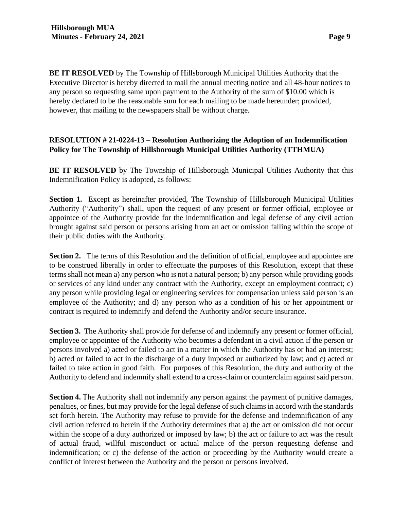**BE IT RESOLVED** by The Township of Hillsborough Municipal Utilities Authority that the Executive Director is hereby directed to mail the annual meeting notice and all 48-hour notices to any person so requesting same upon payment to the Authority of the sum of \$10.00 which is hereby declared to be the reasonable sum for each mailing to be made hereunder; provided, however, that mailing to the newspapers shall be without charge.

## **RESOLUTION # 21-0224-13 – Resolution Authorizing the Adoption of an Indemnification Policy for The Township of Hillsborough Municipal Utilities Authority (TTHMUA)**

**BE IT RESOLVED** by The Township of Hillsborough Municipal Utilities Authority that this Indemnification Policy is adopted, as follows:

Section 1. Except as hereinafter provided, The Township of Hillsborough Municipal Utilities Authority ("Authority") shall, upon the request of any present or former official, employee or appointee of the Authority provide for the indemnification and legal defense of any civil action brought against said person or persons arising from an act or omission falling within the scope of their public duties with the Authority.

**Section 2.** The terms of this Resolution and the definition of official, employee and appointee are to be construed liberally in order to effectuate the purposes of this Resolution, except that these terms shall not mean a) any person who is not a natural person; b) any person while providing goods or services of any kind under any contract with the Authority, except an employment contract; c) any person while providing legal or engineering services for compensation unless said person is an employee of the Authority; and d) any person who as a condition of his or her appointment or contract is required to indemnify and defend the Authority and/or secure insurance.

**Section 3.** The Authority shall provide for defense of and indemnify any present or former official, employee or appointee of the Authority who becomes a defendant in a civil action if the person or persons involved a) acted or failed to act in a matter in which the Authority has or had an interest; b) acted or failed to act in the discharge of a duty imposed or authorized by law; and c) acted or failed to take action in good faith. For purposes of this Resolution, the duty and authority of the Authority to defend and indemnify shall extend to a cross-claim or counterclaim against said person.

**Section 4.** The Authority shall not indemnify any person against the payment of punitive damages, penalties, or fines, but may provide for the legal defense of such claims in accord with the standards set forth herein. The Authority may refuse to provide for the defense and indemnification of any civil action referred to herein if the Authority determines that a) the act or omission did not occur within the scope of a duty authorized or imposed by law; b) the act or failure to act was the result of actual fraud, willful misconduct or actual malice of the person requesting defense and indemnification; or c) the defense of the action or proceeding by the Authority would create a conflict of interest between the Authority and the person or persons involved.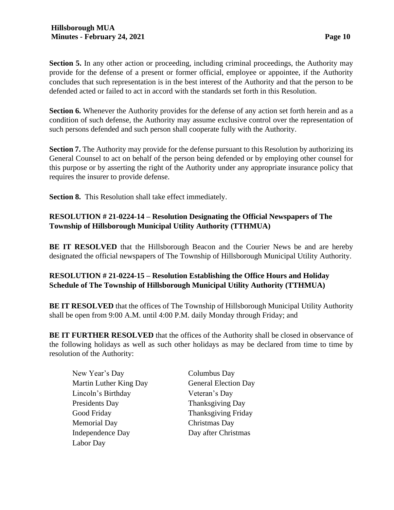**Section 5.** In any other action or proceeding, including criminal proceedings, the Authority may provide for the defense of a present or former official, employee or appointee, if the Authority concludes that such representation is in the best interest of the Authority and that the person to be defended acted or failed to act in accord with the standards set forth in this Resolution.

**Section 6.** Whenever the Authority provides for the defense of any action set forth herein and as a condition of such defense, the Authority may assume exclusive control over the representation of such persons defended and such person shall cooperate fully with the Authority.

**Section 7.** The Authority may provide for the defense pursuant to this Resolution by authorizing its General Counsel to act on behalf of the person being defended or by employing other counsel for this purpose or by asserting the right of the Authority under any appropriate insurance policy that requires the insurer to provide defense.

**Section 8.** This Resolution shall take effect immediately.

## **RESOLUTION # 21-0224-14 – Resolution Designating the Official Newspapers of The Township of Hillsborough Municipal Utility Authority (TTHMUA)**

**BE IT RESOLVED** that the Hillsborough Beacon and the Courier News be and are hereby designated the official newspapers of The Township of Hillsborough Municipal Utility Authority.

# **RESOLUTION # 21-0224-15 – Resolution Establishing the Office Hours and Holiday Schedule of The Township of Hillsborough Municipal Utility Authority (TTHMUA)**

**BE IT RESOLVED** that the offices of The Township of Hillsborough Municipal Utility Authority shall be open from 9:00 A.M. until 4:00 P.M. daily Monday through Friday; and

**BE IT FURTHER RESOLVED** that the offices of the Authority shall be closed in observance of the following holidays as well as such other holidays as may be declared from time to time by resolution of the Authority:

| New Year's Day          | Columbus Day                |
|-------------------------|-----------------------------|
| Martin Luther King Day  | <b>General Election Day</b> |
| Lincoln's Birthday      | Veteran's Day               |
| Presidents Day          | Thanksgiving Day            |
| Good Friday             | <b>Thanksgiving Friday</b>  |
| <b>Memorial Day</b>     | Christmas Day               |
| <b>Independence Day</b> | Day after Christmas         |
| Labor Day               |                             |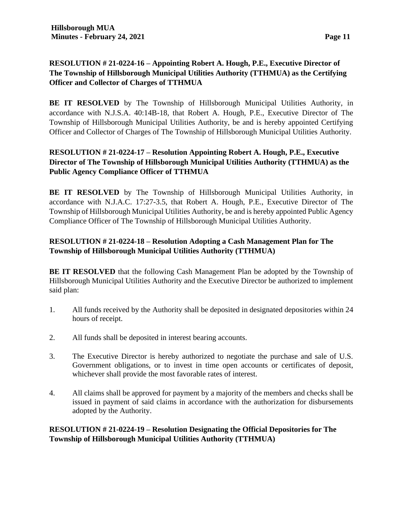## **RESOLUTION # 21-0224-16 – Appointing Robert A. Hough, P.E., Executive Director of The Township of Hillsborough Municipal Utilities Authority (TTHMUA) as the Certifying Officer and Collector of Charges of TTHMUA**

**BE IT RESOLVED** by The Township of Hillsborough Municipal Utilities Authority, in accordance with N.J.S.A. 40:14B-18, that Robert A. Hough, P.E., Executive Director of The Township of Hillsborough Municipal Utilities Authority, be and is hereby appointed Certifying Officer and Collector of Charges of The Township of Hillsborough Municipal Utilities Authority.

# **RESOLUTION # 21-0224-17 – Resolution Appointing Robert A. Hough, P.E., Executive Director of The Township of Hillsborough Municipal Utilities Authority (TTHMUA) as the Public Agency Compliance Officer of TTHMUA**

**BE IT RESOLVED** by The Township of Hillsborough Municipal Utilities Authority, in accordance with N.J.A.C. 17:27-3.5, that Robert A. Hough, P.E., Executive Director of The Township of Hillsborough Municipal Utilities Authority, be and is hereby appointed Public Agency Compliance Officer of The Township of Hillsborough Municipal Utilities Authority.

# **RESOLUTION # 21-0224-18 – Resolution Adopting a Cash Management Plan for The Township of Hillsborough Municipal Utilities Authority (TTHMUA)**

**BE IT RESOLVED** that the following Cash Management Plan be adopted by the Township of Hillsborough Municipal Utilities Authority and the Executive Director be authorized to implement said plan:

- 1. All funds received by the Authority shall be deposited in designated depositories within 24 hours of receipt.
- 2. All funds shall be deposited in interest bearing accounts.
- 3. The Executive Director is hereby authorized to negotiate the purchase and sale of U.S. Government obligations, or to invest in time open accounts or certificates of deposit, whichever shall provide the most favorable rates of interest.
- 4. All claims shall be approved for payment by a majority of the members and checks shall be issued in payment of said claims in accordance with the authorization for disbursements adopted by the Authority.

**RESOLUTION # 21-0224-19 – Resolution Designating the Official Depositories for The Township of Hillsborough Municipal Utilities Authority (TTHMUA)**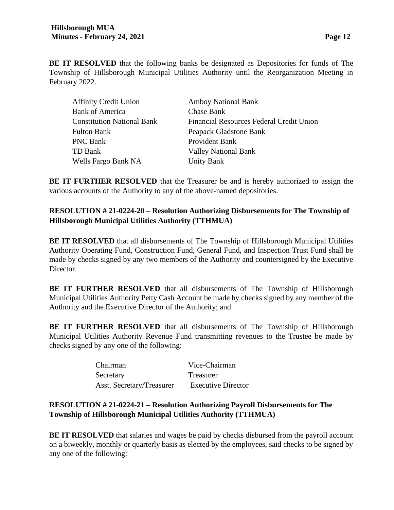**BE IT RESOLVED** that the following banks be designated as Depositories for funds of The Township of Hillsborough Municipal Utilities Authority until the Reorganization Meeting in February 2022.

| <b>Affinity Credit Union</b>      | <b>Amboy National Bank</b>               |
|-----------------------------------|------------------------------------------|
| <b>Bank of America</b>            | Chase Bank                               |
| <b>Constitution National Bank</b> | Financial Resources Federal Credit Union |
| Fulton Bank                       | Peapack Gladstone Bank                   |
| PNC Bank                          | Provident Bank                           |
| TD Bank                           | <b>Valley National Bank</b>              |
| Wells Fargo Bank NA               | <b>Unity Bank</b>                        |

**BE IT FURTHER RESOLVED** that the Treasurer be and is hereby authorized to assign the various accounts of the Authority to any of the above-named depositories.

## **RESOLUTION # 21-0224-20 – Resolution Authorizing Disbursements for The Township of Hillsborough Municipal Utilities Authority (TTHMUA)**

**BE IT RESOLVED** that all disbursements of The Township of Hillsborough Municipal Utilities Authority Operating Fund, Construction Fund, General Fund, and Inspection Trust Fund shall be made by checks signed by any two members of the Authority and countersigned by the Executive Director.

**BE IT FURTHER RESOLVED** that all disbursements of The Township of Hillsborough Municipal Utilities Authority Petty Cash Account be made by checks signed by any member of the Authority and the Executive Director of the Authority; and

**BE IT FURTHER RESOLVED** that all disbursements of The Township of Hillsborough Municipal Utilities Authority Revenue Fund transmitting revenues to the Trustee be made by checks signed by any one of the following:

| Chairman                  | Vice-Chairman             |
|---------------------------|---------------------------|
| Secretary                 | Treasurer                 |
| Asst. Secretary/Treasurer | <b>Executive Director</b> |

## **RESOLUTION # 21-0224-21 – Resolution Authorizing Payroll Disbursements for The Township of Hillsborough Municipal Utilities Authority (TTHMUA)**

**BE IT RESOLVED** that salaries and wages be paid by checks disbursed from the payroll account on a biweekly, monthly or quarterly basis as elected by the employees, said checks to be signed by any one of the following: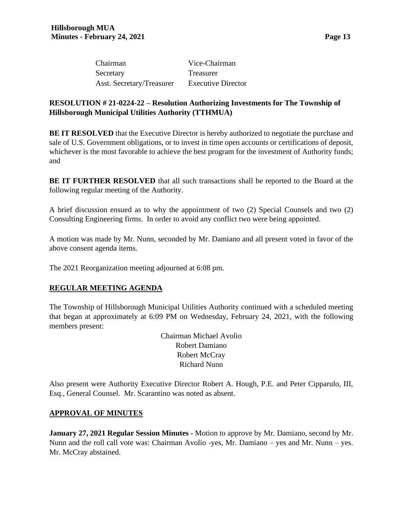| Chairman                         | Vice-Chairman             |
|----------------------------------|---------------------------|
| Secretary                        | Treasurer                 |
| <b>Asst. Secretary/Treasurer</b> | <b>Executive Director</b> |

## **RESOLUTION # 21-0224-22 – Resolution Authorizing Investments for The Township of Hillsborough Municipal Utilities Authority (TTHMUA)**

**BE IT RESOLVED** that the Executive Director is hereby authorized to negotiate the purchase and sale of U.S. Government obligations, or to invest in time open accounts or certifications of deposit, whichever is the most favorable to achieve the best program for the investment of Authority funds; and

**BE IT FURTHER RESOLVED** that all such transactions shall be reported to the Board at the following regular meeting of the Authority.

A brief discussion ensued as to why the appointment of two (2) Special Counsels and two (2) Consulting Engineering firms. In order to avoid any conflict two were being appointed.

A motion was made by Mr. Nunn, seconded by Mr. Damiano and all present voted in favor of the above consent agenda items.

The 2021 Reorganization meeting adjourned at 6:08 pm.

## **REGULAR MEETING AGENDA**

The Township of Hillsborough Municipal Utilities Authority continued with a scheduled meeting that began at approximately at 6:09 PM on Wednesday, February 24, 2021, with the following members present:

> Chairman Michael Avolio Robert Damiano Robert McCray Richard Nunn

Also present were Authority Executive Director Robert A. Hough, P.E. and Peter Cipparulo, III, Esq., General Counsel. Mr. Scarantino was noted as absent.

#### **APPROVAL OF MINUTES**

**January 27, 2021 Regular Session Minutes -** Motion to approve by Mr. Damiano, second by Mr. Nunn and the roll call vote was: Chairman Avolio -yes, Mr. Damiano – yes and Mr. Nunn – yes. Mr. McCray abstained.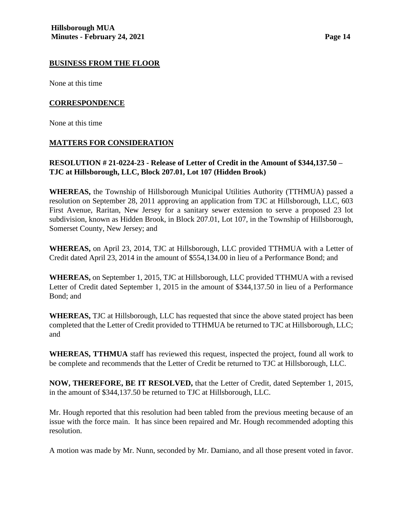#### **BUSINESS FROM THE FLOOR**

None at this time

#### **CORRESPONDENCE**

None at this time

#### **MATTERS FOR CONSIDERATION**

## **RESOLUTION # 21-0224-23 - Release of Letter of Credit in the Amount of \$344,137.50 – TJC at Hillsborough, LLC, Block 207.01, Lot 107 (Hidden Brook)**

**WHEREAS,** the Township of Hillsborough Municipal Utilities Authority (TTHMUA) passed a resolution on September 28, 2011 approving an application from TJC at Hillsborough, LLC, 603 First Avenue, Raritan, New Jersey for a sanitary sewer extension to serve a proposed 23 lot subdivision, known as Hidden Brook, in Block 207.01, Lot 107, in the Township of Hillsborough, Somerset County, New Jersey; and

**WHEREAS,** on April 23, 2014, TJC at Hillsborough, LLC provided TTHMUA with a Letter of Credit dated April 23, 2014 in the amount of \$554,134.00 in lieu of a Performance Bond; and

**WHEREAS,** on September 1, 2015, TJC at Hillsborough, LLC provided TTHMUA with a revised Letter of Credit dated September 1, 2015 in the amount of \$344,137.50 in lieu of a Performance Bond; and

**WHEREAS,** TJC at Hillsborough, LLC has requested that since the above stated project has been completed that the Letter of Credit provided to TTHMUA be returned to TJC at Hillsborough, LLC; and

**WHEREAS, TTHMUA** staff has reviewed this request, inspected the project, found all work to be complete and recommends that the Letter of Credit be returned to TJC at Hillsborough, LLC.

**NOW, THEREFORE, BE IT RESOLVED,** that the Letter of Credit, dated September 1, 2015, in the amount of \$344,137.50 be returned to TJC at Hillsborough, LLC.

Mr. Hough reported that this resolution had been tabled from the previous meeting because of an issue with the force main. It has since been repaired and Mr. Hough recommended adopting this resolution.

A motion was made by Mr. Nunn, seconded by Mr. Damiano, and all those present voted in favor.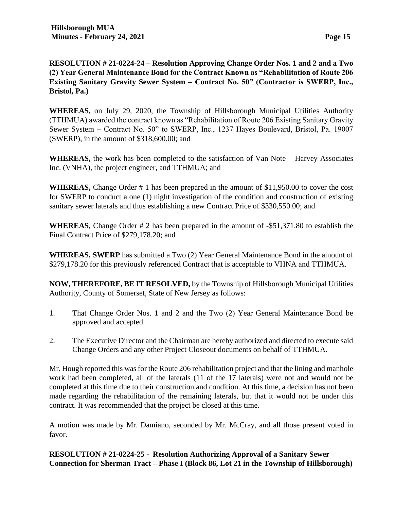**RESOLUTION # 21-0224-24 – Resolution Approving Change Order Nos. 1 and 2 and a Two (2) Year General Maintenance Bond for the Contract Known as "Rehabilitation of Route 206 Existing Sanitary Gravity Sewer System – Contract No. 50" (Contractor is SWERP, Inc., Bristol, Pa.)**

**WHEREAS,** on July 29, 2020, the Township of Hillsborough Municipal Utilities Authority (TTHMUA) awarded the contract known as "Rehabilitation of Route 206 Existing Sanitary Gravity Sewer System – Contract No. 50" to SWERP, Inc., 1237 Hayes Boulevard, Bristol, Pa. 19007 (SWERP), in the amount of \$318,600.00; and

**WHEREAS,** the work has been completed to the satisfaction of Van Note – Harvey Associates Inc. (VNHA), the project engineer, and TTHMUA; and

**WHEREAS,** Change Order # 1 has been prepared in the amount of \$11,950.00 to cover the cost for SWERP to conduct a one (1) night investigation of the condition and construction of existing sanitary sewer laterals and thus establishing a new Contract Price of \$330,550.00; and

**WHEREAS,** Change Order # 2 has been prepared in the amount of -\$51,371.80 to establish the Final Contract Price of \$279,178.20; and

**WHEREAS, SWERP** has submitted a Two (2) Year General Maintenance Bond in the amount of \$279,178.20 for this previously referenced Contract that is acceptable to VHNA and TTHMUA.

**NOW, THEREFORE, BE IT RESOLVED,** by the Township of Hillsborough Municipal Utilities Authority, County of Somerset, State of New Jersey as follows:

- 1. That Change Order Nos. 1 and 2 and the Two (2) Year General Maintenance Bond be approved and accepted.
- 2. The Executive Director and the Chairman are hereby authorized and directed to execute said Change Orders and any other Project Closeout documents on behalf of TTHMUA.

Mr. Hough reported this was for the Route 206 rehabilitation project and that the lining and manhole work had been completed, all of the laterals (11 of the 17 laterals) were not and would not be completed at this time due to their construction and condition. At this time, a decision has not been made regarding the rehabilitation of the remaining laterals, but that it would not be under this contract. It was recommended that the project be closed at this time.

A motion was made by Mr. Damiano, seconded by Mr. McCray, and all those present voted in favor.

**RESOLUTION # 21-0224-25 - Resolution Authorizing Approval of a Sanitary Sewer Connection for Sherman Tract – Phase I (Block 86, Lot 21 in the Township of Hillsborough)**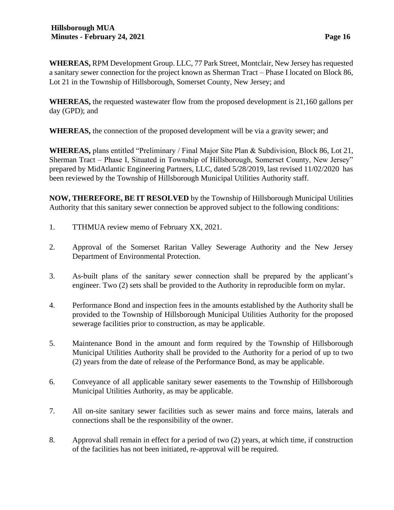**WHEREAS,** RPM Development Group. LLC, 77 Park Street, Montclair, New Jersey has requested a sanitary sewer connection for the project known as Sherman Tract – Phase I located on Block 86, Lot 21 in the Township of Hillsborough, Somerset County, New Jersey; and

**WHEREAS,** the requested wastewater flow from the proposed development is 21,160 gallons per day (GPD); and

**WHEREAS,** the connection of the proposed development will be via a gravity sewer; and

**WHEREAS,** plans entitled "Preliminary / Final Major Site Plan & Subdivision, Block 86, Lot 21, Sherman Tract – Phase I, Situated in Township of Hillsborough, Somerset County, New Jersey" prepared by MidAtlantic Engineering Partners, LLC, dated 5/28/2019, last revised 11/02/2020 has been reviewed by the Township of Hillsborough Municipal Utilities Authority staff.

**NOW, THEREFORE, BE IT RESOLVED** by the Township of Hillsborough Municipal Utilities Authority that this sanitary sewer connection be approved subject to the following conditions:

- 1. TTHMUA review memo of February XX, 2021.
- 2. Approval of the Somerset Raritan Valley Sewerage Authority and the New Jersey Department of Environmental Protection.
- 3. As-built plans of the sanitary sewer connection shall be prepared by the applicant's engineer. Two (2) sets shall be provided to the Authority in reproducible form on mylar.
- 4. Performance Bond and inspection fees in the amounts established by the Authority shall be provided to the Township of Hillsborough Municipal Utilities Authority for the proposed sewerage facilities prior to construction, as may be applicable.
- 5. Maintenance Bond in the amount and form required by the Township of Hillsborough Municipal Utilities Authority shall be provided to the Authority for a period of up to two (2) years from the date of release of the Performance Bond, as may be applicable.
- 6. Conveyance of all applicable sanitary sewer easements to the Township of Hillsborough Municipal Utilities Authority, as may be applicable.
- 7. All on-site sanitary sewer facilities such as sewer mains and force mains, laterals and connections shall be the responsibility of the owner.
- 8. Approval shall remain in effect for a period of two (2) years, at which time, if construction of the facilities has not been initiated, re-approval will be required.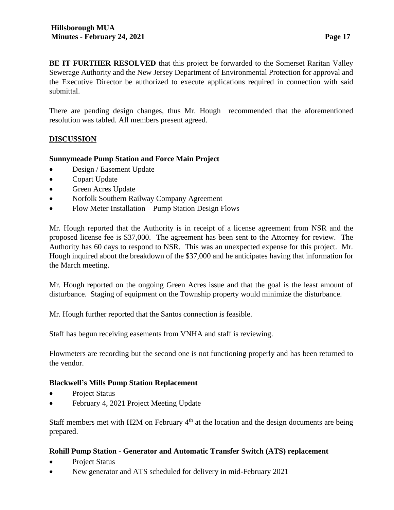**BE IT FURTHER RESOLVED** that this project be forwarded to the Somerset Raritan Valley Sewerage Authority and the New Jersey Department of Environmental Protection for approval and the Executive Director be authorized to execute applications required in connection with said submittal.

There are pending design changes, thus Mr. Hough recommended that the aforementioned resolution was tabled. All members present agreed.

## **DISCUSSION**

#### **Sunnymeade Pump Station and Force Main Project**

- Design / Easement Update
- Copart Update
- Green Acres Update
- Norfolk Southern Railway Company Agreement
- Flow Meter Installation Pump Station Design Flows

Mr. Hough reported that the Authority is in receipt of a license agreement from NSR and the proposed license fee is \$37,000. The agreement has been sent to the Attorney for review. The Authority has 60 days to respond to NSR. This was an unexpected expense for this project. Mr. Hough inquired about the breakdown of the \$37,000 and he anticipates having that information for the March meeting.

Mr. Hough reported on the ongoing Green Acres issue and that the goal is the least amount of disturbance. Staging of equipment on the Township property would minimize the disturbance.

Mr. Hough further reported that the Santos connection is feasible.

Staff has begun receiving easements from VNHA and staff is reviewing.

Flowmeters are recording but the second one is not functioning properly and has been returned to the vendor.

#### **Blackwell's Mills Pump Station Replacement**

- Project Status
- February 4, 2021 Project Meeting Update

Staff members met with H2M on February  $4<sup>th</sup>$  at the location and the design documents are being prepared.

#### **Rohill Pump Station - Generator and Automatic Transfer Switch (ATS) replacement**

- Project Status
- New generator and ATS scheduled for delivery in mid-February 2021